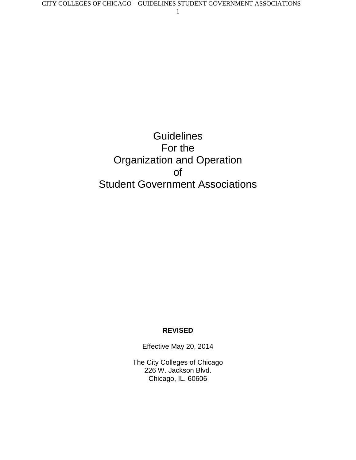# **Guidelines** For the Organization and Operation of Student Government Associations

#### **REVISED**

Effective May 20, 2014

The City Colleges of Chicago 226 W. Jackson Blvd. Chicago, IL. 60606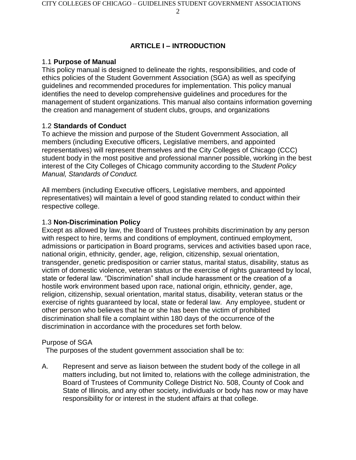# **ARTICLE I – INTRODUCTION**

# 1.1 **Purpose of Manual**

This policy manual is designed to delineate the rights, responsibilities, and code of ethics policies of the Student Government Association (SGA) as well as specifying guidelines and recommended procedures for implementation. This policy manual identifies the need to develop comprehensive guidelines and procedures for the management of student organizations. This manual also contains information governing the creation and management of student clubs, groups, and organizations

# 1.2 **Standards of Conduct**

To achieve the mission and purpose of the Student Government Association, all members (including Executive officers, Legislative members, and appointed representatives) will represent themselves and the City Colleges of Chicago (CCC) student body in the most positive and professional manner possible, working in the best interest of the City Colleges of Chicago community according to the *Student Policy Manual, Standards of Conduct.*

All members (including Executive officers, Legislative members, and appointed representatives) will maintain a level of good standing related to conduct within their respective college.

### 1.3 **Non-Discrimination Policy**

Except as allowed by law, the Board of Trustees prohibits discrimination by any person with respect to hire, terms and conditions of employment, continued employment, admissions or participation in Board programs, services and activities based upon race, national origin, ethnicity, gender, age, religion, citizenship, sexual orientation, transgender, genetic predisposition or carrier status, marital status, disability, status as victim of domestic violence, veteran status or the exercise of rights guaranteed by local, state or federal law. "Discrimination" shall include harassment or the creation of a hostile work environment based upon race, national origin, ethnicity, gender, age, religion, citizenship, sexual orientation, marital status, disability, veteran status or the exercise of rights guaranteed by local, state or federal law. Any employee, student or other person who believes that he or she has been the victim of prohibited discrimination shall file a complaint within 180 days of the occurrence of the discrimination in accordance with the procedures set forth below.

### Purpose of SGA

The purposes of the student government association shall be to:

A. Represent and serve as liaison between the student body of the college in all matters including, but not limited to, relations with the college administration, the Board of Trustees of Community College District No. 508, County of Cook and State of Illinois, and any other society, individuals or body has now or may have responsibility for or interest in the student affairs at that college.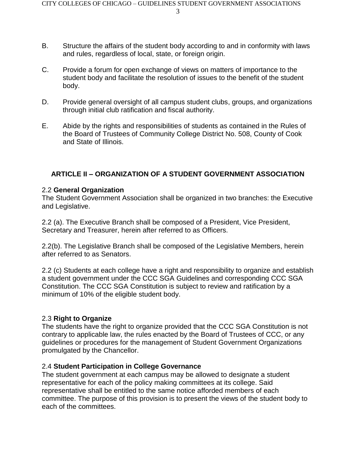- 3
- B. Structure the affairs of the student body according to and in conformity with laws and rules, regardless of local, state, or foreign origin.
- C. Provide a forum for open exchange of views on matters of importance to the student body and facilitate the resolution of issues to the benefit of the student body.
- D. Provide general oversight of all campus student clubs, groups, and organizations through initial club ratification and fiscal authority.
- E. Abide by the rights and responsibilities of students as contained in the Rules of the Board of Trustees of Community College District No. 508, County of Cook and State of Illinois.

### **ARTICLE II – ORGANIZATION OF A STUDENT GOVERNMENT ASSOCIATION**

#### 2.2 **General Organization**

The Student Government Association shall be organized in two branches: the Executive and Legislative.

2.2 (a). The Executive Branch shall be composed of a President, Vice President, Secretary and Treasurer, herein after referred to as Officers.

2.2(b). The Legislative Branch shall be composed of the Legislative Members, herein after referred to as Senators.

2.2 (c) Students at each college have a right and responsibility to organize and establish a student government under the CCC SGA Guidelines and corresponding CCC SGA Constitution. The CCC SGA Constitution is subject to review and ratification by a minimum of 10% of the eligible student body.

#### 2.3 **Right to Organize**

The students have the right to organize provided that the CCC SGA Constitution is not contrary to applicable law, the rules enacted by the Board of Trustees of CCC, or any guidelines or procedures for the management of Student Government Organizations promulgated by the Chancellor.

#### 2.4 **Student Participation in College Governance**

The student government at each campus may be allowed to designate a student representative for each of the policy making committees at its college. Said representative shall be entitled to the same notice afforded members of each committee. The purpose of this provision is to present the views of the student body to each of the committees.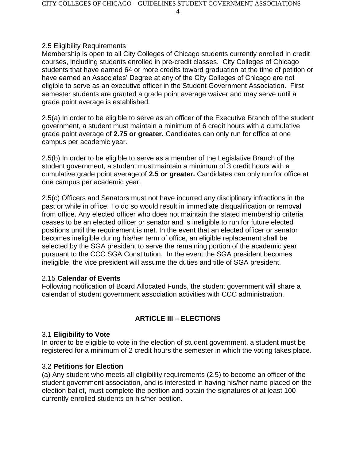### 2.5 Eligibility Requirements

Membership is open to all City Colleges of Chicago students currently enrolled in credit courses, including students enrolled in pre-credit classes. City Colleges of Chicago students that have earned 64 or more credits toward graduation at the time of petition or have earned an Associates' Degree at any of the City Colleges of Chicago are not eligible to serve as an executive officer in the Student Government Association. First semester students are granted a grade point average waiver and may serve until a grade point average is established.

2.5(a) In order to be eligible to serve as an officer of the Executive Branch of the student government, a student must maintain a minimum of 6 credit hours with a cumulative grade point average of **2.75 or greater.** Candidates can only run for office at one campus per academic year.

2.5(b) In order to be eligible to serve as a member of the Legislative Branch of the student government, a student must maintain a minimum of 3 credit hours with a cumulative grade point average of **2.5 or greater.** Candidates can only run for office at one campus per academic year.

2.5(c) Officers and Senators must not have incurred any disciplinary infractions in the past or while in office. To do so would result in immediate disqualification or removal from office. Any elected officer who does not maintain the stated membership criteria ceases to be an elected officer or senator and is ineligible to run for future elected positions until the requirement is met. In the event that an elected officer or senator becomes ineligible during his/her term of office, an eligible replacement shall be selected by the SGA president to serve the remaining portion of the academic year pursuant to the CCC SGA Constitution. In the event the SGA president becomes ineligible, the vice president will assume the duties and title of SGA president.

#### 2.15 **Calendar of Events**

Following notification of Board Allocated Funds, the student government will share a calendar of student government association activities with CCC administration.

### **ARTICLE III – ELECTIONS**

#### 3.1 **Eligibility to Vote**

In order to be eligible to vote in the election of student government, a student must be registered for a minimum of 2 credit hours the semester in which the voting takes place.

#### 3.2 **Petitions for Election**

(a) Any student who meets all eligibility requirements (2.5) to become an officer of the student government association, and is interested in having his/her name placed on the election ballot, must complete the petition and obtain the signatures of at least 100 currently enrolled students on his/her petition.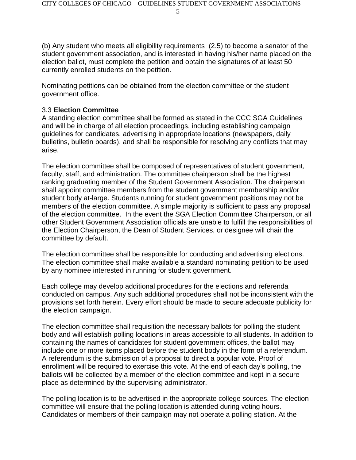(b) Any student who meets all eligibility requirements (2.5) to become a senator of the student government association, and is interested in having his/her name placed on the election ballot, must complete the petition and obtain the signatures of at least 50 currently enrolled students on the petition.

Nominating petitions can be obtained from the election committee or the student government office.

#### 3.3 **Election Committee**

A standing election committee shall be formed as stated in the CCC SGA Guidelines and will be in charge of all election proceedings, including establishing campaign guidelines for candidates, advertising in appropriate locations (newspapers, daily bulletins, bulletin boards), and shall be responsible for resolving any conflicts that may arise.

The election committee shall be composed of representatives of student government, faculty, staff, and administration. The committee chairperson shall be the highest ranking graduating member of the Student Government Association. The chairperson shall appoint committee members from the student government membership and/or student body at-large. Students running for student government positions may not be members of the election committee. A simple majority is sufficient to pass any proposal of the election committee. In the event the SGA Election Committee Chairperson, or all other Student Government Association officials are unable to fulfill the responsibilities of the Election Chairperson, the Dean of Student Services, or designee will chair the committee by default.

The election committee shall be responsible for conducting and advertising elections. The election committee shall make available a standard nominating petition to be used by any nominee interested in running for student government.

Each college may develop additional procedures for the elections and referenda conducted on campus. Any such additional procedures shall not be inconsistent with the provisions set forth herein. Every effort should be made to secure adequate publicity for the election campaign.

The election committee shall requisition the necessary ballots for polling the student body and will establish polling locations in areas accessible to all students. In addition to containing the names of candidates for student government offices, the ballot may include one or more items placed before the student body in the form of a referendum. A referendum is the submission of a proposal to direct a popular vote. Proof of enrollment will be required to exercise this vote. At the end of each day's polling, the ballots will be collected by a member of the election committee and kept in a secure place as determined by the supervising administrator.

The polling location is to be advertised in the appropriate college sources. The election committee will ensure that the polling location is attended during voting hours. Candidates or members of their campaign may not operate a polling station. At the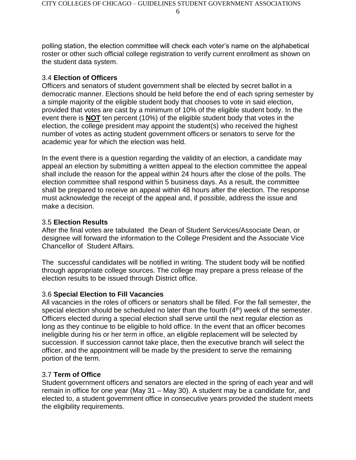polling station, the election committee will check each voter's name on the alphabetical roster or other such official college registration to verify current enrollment as shown on the student data system.

#### 3.4 **Election of Officers**

Officers and senators of student government shall be elected by secret ballot in a democratic manner. Elections should be held before the end of each spring semester by a simple majority of the eligible student body that chooses to vote in said election, provided that votes are cast by a minimum of 10% of the eligible student body. In the event there is **NOT** ten percent (10%) of the eligible student body that votes in the election, the college president may appoint the student(s) who received the highest number of votes as acting student government officers or senators to serve for the academic year for which the election was held.

In the event there is a question regarding the validity of an election, a candidate may appeal an election by submitting a written appeal to the election committee the appeal shall include the reason for the appeal within 24 hours after the close of the polls. The election committee shall respond within 5 business days. As a result, the committee shall be prepared to receive an appeal within 48 hours after the election. The response must acknowledge the receipt of the appeal and, if possible, address the issue and make a decision.

#### 3.5 **Election Results**

After the final votes are tabulated the Dean of Student Services/Associate Dean, or designee will forward the information to the College President and the Associate Vice Chancellor of Student Affairs.

The successful candidates will be notified in writing. The student body will be notified through appropriate college sources. The college may prepare a press release of the election results to be issued through District office.

### 3.6 **Special Election to Fill Vacancies**

All vacancies in the roles of officers or senators shall be filled. For the fall semester, the special election should be scheduled no later than the fourth  $(4<sup>th</sup>)$  week of the semester. Officers elected during a special election shall serve until the next regular election as long as they continue to be eligible to hold office. In the event that an officer becomes ineligible during his or her term in office, an eligible replacement will be selected by succession. If succession cannot take place, then the executive branch will select the officer, and the appointment will be made by the president to serve the remaining portion of the term.

### 3.7 **Term of Office**

Student government officers and senators are elected in the spring of each year and will remain in office for one year (May 31 – May 30). A student may be a candidate for, and elected to, a student government office in consecutive years provided the student meets the eligibility requirements.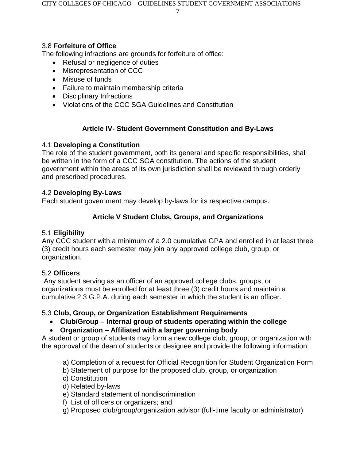CITY COLLEGES OF CHICAGO – GUIDELINES STUDENT GOVERNMENT ASSOCIATIONS

7

# 3.8 **Forfeiture of Office**

The following infractions are grounds for forfeiture of office:

- Refusal or negligence of duties
- Misrepresentation of CCC
- Misuse of funds
- Failure to maintain membership criteria
- Disciplinary Infractions
- Violations of the CCC SGA Guidelines and Constitution

# **Article IV- Student Government Constitution and By-Laws**

# 4.1 **Developing a Constitution**

The role of the student government, both its general and specific responsibilities, shall be written in the form of a CCC SGA constitution. The actions of the student government within the areas of its own jurisdiction shall be reviewed through orderly and prescribed procedures.

# 4.2 **Developing By-Laws**

Each student government may develop by-laws for its respective campus.

# **Article V Student Clubs, Groups, and Organizations**

# 5.1 **Eligibility**

Any CCC student with a minimum of a 2.0 cumulative GPA and enrolled in at least three (3) credit hours each semester may join any approved college club, group, or organization.

# 5.2 **Officers**

Any student serving as an officer of an approved college clubs, groups, or organizations must be enrolled for at least three (3) credit hours and maintain a cumulative 2.3 G.P.A. during each semester in which the student is an officer.

# 5.3 **Club, Group, or Organization Establishment Requirements**

- **Club/Group – Internal group of students operating within the college**
- **Organization – Affiliated with a larger governing body**

A student or group of students may form a new college club, group, or organization with the approval of the dean of students or designee and provide the following information:

- a) Completion of a request for Official Recognition for Student Organization Form
- b) Statement of purpose for the proposed club, group, or organization
- c) Constitution
- d) Related by-laws
- e) Standard statement of nondiscrimination
- f) List of officers or organizers; and
- g) Proposed club/group/organization advisor (full-time faculty or administrator)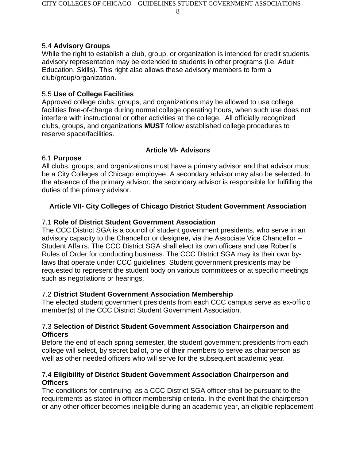# 5.4 **Advisory Groups**

While the right to establish a club, group, or organization is intended for credit students, advisory representation may be extended to students in other programs (i.e. Adult Education, Skills). This right also allows these advisory members to form a club/group/organization.

# 5.5 **Use of College Facilities**

Approved college clubs, groups, and organizations may be allowed to use college facilities free-of-charge during normal college operating hours, when such use does not interfere with instructional or other activities at the college. All officially recognized clubs, groups, and organizations **MUST** follow established college procedures to reserve space/facilities.

# **Article VI- Advisors**

# 6.1 **Purpose**

All clubs, groups, and organizations must have a primary advisor and that advisor must be a City Colleges of Chicago employee. A secondary advisor may also be selected. In the absence of the primary advisor, the secondary advisor is responsible for fulfilling the duties of the primary advisor.

# **Article VII- City Colleges of Chicago District Student Government Association**

# 7.1 **Role of District Student Government Association**

The CCC District SGA is a council of student government presidents, who serve in an advisory capacity to the Chancellor or designee, via the Associate Vice Chancellor – Student Affairs. The CCC District SGA shall elect its own officers and use Robert's Rules of Order for conducting business. The CCC District SGA may its their own bylaws that operate under CCC guidelines. Student government presidents may be requested to represent the student body on various committees or at specific meetings such as negotiations or hearings.

# 7.2 **District Student Government Association Membership**

The elected student government presidents from each CCC campus serve as ex-officio member(s) of the CCC District Student Government Association.

### 7.3 **Selection of District Student Government Association Chairperson and Officers**

Before the end of each spring semester, the student government presidents from each college will select, by secret ballot, one of their members to serve as chairperson as well as other needed officers who will serve for the subsequent academic year.

### 7.4 **Eligibility of District Student Government Association Chairperson and Officers**

The conditions for continuing, as a CCC District SGA officer shall be pursuant to the requirements as stated in officer membership criteria. In the event that the chairperson or any other officer becomes ineligible during an academic year, an eligible replacement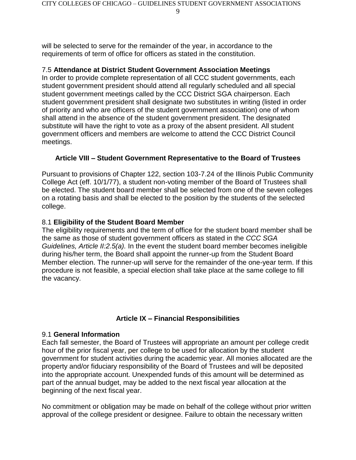will be selected to serve for the remainder of the year, in accordance to the requirements of term of office for officers as stated in the constitution.

### 7.5 **Attendance at District Student Government Association Meetings**

In order to provide complete representation of all CCC student governments, each student government president should attend all regularly scheduled and all special student government meetings called by the CCC District SGA chairperson. Each student government president shall designate two substitutes in writing (listed in order of priority and who are officers of the student government association) one of whom shall attend in the absence of the student government president. The designated substitute will have the right to vote as a proxy of the absent president. All student government officers and members are welcome to attend the CCC District Council meetings.

# **Article VIII – Student Government Representative to the Board of Trustees**

Pursuant to provisions of Chapter 122, section 103-7.24 of the Illinois Public Community College Act (eff. 10/1/77), a student non-voting member of the Board of Trustees shall be elected. The student board member shall be selected from one of the seven colleges on a rotating basis and shall be elected to the position by the students of the selected college.

# 8.1 **Eligibility of the Student Board Member**

The eligibility requirements and the term of office for the student board member shall be the same as those of student government officers as stated in the *CCC SGA Guidelines, Article II:2.5(a).* In the event the student board member becomes ineligible during his/her term, the Board shall appoint the runner-up from the Student Board Member election. The runner-up will serve for the remainder of the one-year term. If this procedure is not feasible, a special election shall take place at the same college to fill the vacancy.

# **Article IX – Financial Responsibilities**

# 9.1 **General Information**

Each fall semester, the Board of Trustees will appropriate an amount per college credit hour of the prior fiscal year, per college to be used for allocation by the student government for student activities during the academic year. All monies allocated are the property and/or fiduciary responsibility of the Board of Trustees and will be deposited into the appropriate account. Unexpended funds of this amount will be determined as part of the annual budget, may be added to the next fiscal year allocation at the beginning of the next fiscal year.

No commitment or obligation may be made on behalf of the college without prior written approval of the college president or designee. Failure to obtain the necessary written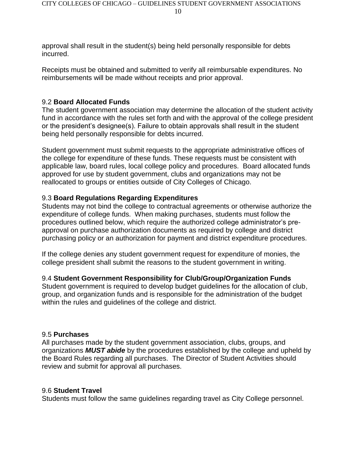approval shall result in the student(s) being held personally responsible for debts incurred.

Receipts must be obtained and submitted to verify all reimbursable expenditures. No reimbursements will be made without receipts and prior approval.

#### 9.2 **Board Allocated Funds**

The student government association may determine the allocation of the student activity fund in accordance with the rules set forth and with the approval of the college president or the president's designee(s). Failure to obtain approvals shall result in the student being held personally responsible for debts incurred.

Student government must submit requests to the appropriate administrative offices of the college for expenditure of these funds. These requests must be consistent with applicable law, board rules, local college policy and procedures. Board allocated funds approved for use by student government, clubs and organizations may not be reallocated to groups or entities outside of City Colleges of Chicago.

#### 9.3 **Board Regulations Regarding Expenditures**

Students may not bind the college to contractual agreements or otherwise authorize the expenditure of college funds. When making purchases, students must follow the procedures outlined below, which require the authorized college administrator's preapproval on purchase authorization documents as required by college and district purchasing policy or an authorization for payment and district expenditure procedures.

If the college denies any student government request for expenditure of monies, the college president shall submit the reasons to the student government in writing.

#### 9.4 **Student Government Responsibility for Club/Group/Organization Funds**

Student government is required to develop budget guidelines for the allocation of club, group, and organization funds and is responsible for the administration of the budget within the rules and guidelines of the college and district.

#### 9.5 **Purchases**

All purchases made by the student government association, clubs, groups, and organizations *MUST abide* by the procedures established by the college and upheld by the Board Rules regarding all purchases. The Director of Student Activities should review and submit for approval all purchases.

#### 9.6 **Student Travel**

Students must follow the same guidelines regarding travel as City College personnel.